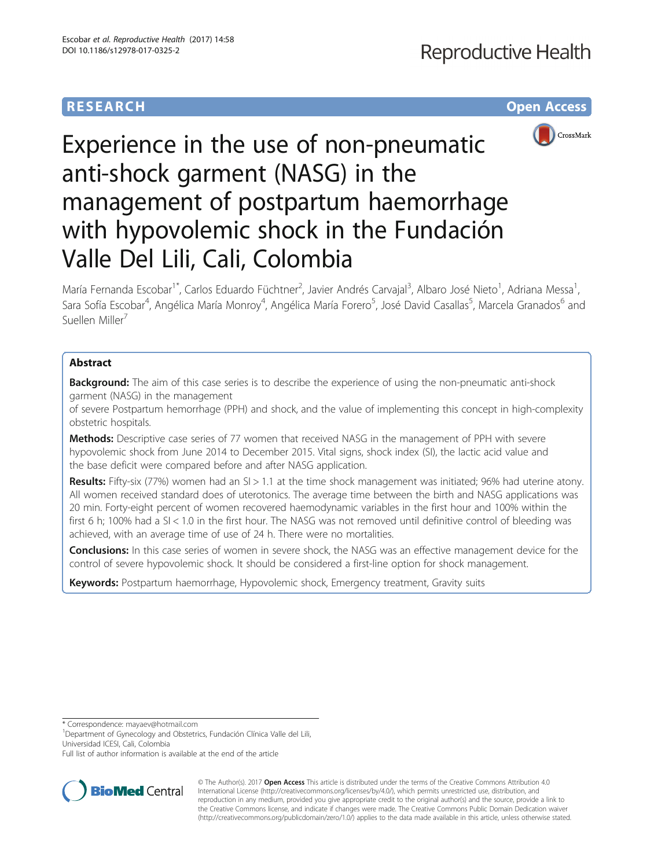## **RESEARCH CHE Open Access**



# Experience in the use of non-pneumatic anti-shock garment (NASG) in the management of postpartum haemorrhage with hypovolemic shock in the Fundación Valle Del Lili, Cali, Colombia

María Fernanda Escobar<sup>1\*</sup>, Carlos Eduardo Füchtner<sup>2</sup>, Javier Andrés Carvajal<sup>3</sup>, Albaro José Nieto<sup>1</sup>, Adriana Messa<sup>1</sup> , Sara Sofía Escobar<sup>4</sup>, Angélica María Monroy<sup>4</sup>, Angélica María Forero<sup>5</sup>, José David Casallas<sup>5</sup>, Marcela Granados<sup>6</sup> and Suellen Miller<sup>7</sup>

## Abstract

Background: The aim of this case series is to describe the experience of using the non-pneumatic anti-shock garment (NASG) in the management

of severe Postpartum hemorrhage (PPH) and shock, and the value of implementing this concept in high-complexity obstetric hospitals.

Methods: Descriptive case series of 77 women that received NASG in the management of PPH with severe hypovolemic shock from June 2014 to December 2015. Vital signs, shock index (SI), the lactic acid value and the base deficit were compared before and after NASG application.

Results: Fifty-six (77%) women had an SI > 1.1 at the time shock management was initiated; 96% had uterine atony. All women received standard does of uterotonics. The average time between the birth and NASG applications was 20 min. Forty-eight percent of women recovered haemodynamic variables in the first hour and 100% within the first 6 h; 100% had a SI < 1.0 in the first hour. The NASG was not removed until definitive control of bleeding was achieved, with an average time of use of 24 h. There were no mortalities.

**Conclusions:** In this case series of women in severe shock, the NASG was an effective management device for the control of severe hypovolemic shock. It should be considered a first-line option for shock management.

Keywords: Postpartum haemorrhage, Hypovolemic shock, Emergency treatment, Gravity suits

\* Correspondence: [mayaev@hotmail.com](mailto:mayaev@hotmail.com) <sup>1</sup>

<sup>1</sup>Department of Gynecology and Obstetrics, Fundación Clínica Valle del Lili, Universidad ICESI, Cali, Colombia

Full list of author information is available at the end of the article



© The Author(s). 2017 **Open Access** This article is distributed under the terms of the Creative Commons Attribution 4.0 International License [\(http://creativecommons.org/licenses/by/4.0/](http://creativecommons.org/licenses/by/4.0/)), which permits unrestricted use, distribution, and reproduction in any medium, provided you give appropriate credit to the original author(s) and the source, provide a link to the Creative Commons license, and indicate if changes were made. The Creative Commons Public Domain Dedication waiver [\(http://creativecommons.org/publicdomain/zero/1.0/](http://creativecommons.org/publicdomain/zero/1.0/)) applies to the data made available in this article, unless otherwise stated.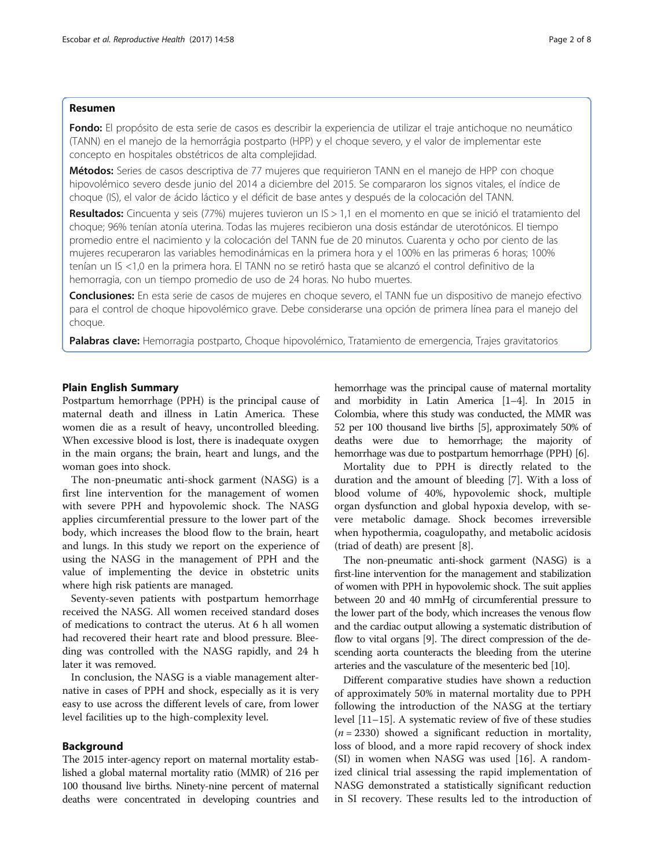Fondo: El propósito de esta serie de casos es describir la experiencia de utilizar el traje antichoque no neumático (TANN) en el manejo de la hemorrágia postparto (HPP) y el choque severo, y el valor de implementar este concepto en hospitales obstétricos de alta complejidad.

Métodos: Series de casos descriptiva de 77 mujeres que requirieron TANN en el manejo de HPP con choque hipovolémico severo desde junio del 2014 a diciembre del 2015. Se compararon los signos vitales, el índice de choque (IS), el valor de ácido láctico y el déficit de base antes y después de la colocación del TANN.

Resultados: Cincuenta y seis (77%) mujeres tuvieron un IS > 1,1 en el momento en que se inició el tratamiento del choque; 96% tenían atonía uterina. Todas las mujeres recibieron una dosis estándar de uterotónicos. El tiempo promedio entre el nacimiento y la colocación del TANN fue de 20 minutos. Cuarenta y ocho por ciento de las mujeres recuperaron las variables hemodinámicas en la primera hora y el 100% en las primeras 6 horas; 100% tenían un IS <1,0 en la primera hora. El TANN no se retiró hasta que se alcanzó el control definitivo de la hemorragia, con un tiempo promedio de uso de 24 horas. No hubo muertes.

Conclusiones: En esta serie de casos de mujeres en choque severo, el TANN fue un dispositivo de manejo efectivo para el control de choque hipovolémico grave. Debe considerarse una opción de primera línea para el manejo del choque.

Palabras clave: Hemorragia postparto, Choque hipovolémico, Tratamiento de emergencia, Trajes gravitatorios

## Plain English Summary

Postpartum hemorrhage (PPH) is the principal cause of maternal death and illness in Latin America. These women die as a result of heavy, uncontrolled bleeding. When excessive blood is lost, there is inadequate oxygen in the main organs; the brain, heart and lungs, and the woman goes into shock.

The non-pneumatic anti-shock garment (NASG) is a first line intervention for the management of women with severe PPH and hypovolemic shock. The NASG applies circumferential pressure to the lower part of the body, which increases the blood flow to the brain, heart and lungs. In this study we report on the experience of using the NASG in the management of PPH and the value of implementing the device in obstetric units where high risk patients are managed.

Seventy-seven patients with postpartum hemorrhage received the NASG. All women received standard doses of medications to contract the uterus. At 6 h all women had recovered their heart rate and blood pressure. Bleeding was controlled with the NASG rapidly, and 24 h later it was removed.

In conclusion, the NASG is a viable management alternative in cases of PPH and shock, especially as it is very easy to use across the different levels of care, from lower level facilities up to the high-complexity level.

## Background

The 2015 inter-agency report on maternal mortality established a global maternal mortality ratio (MMR) of 216 per 100 thousand live births. Ninety-nine percent of maternal deaths were concentrated in developing countries and hemorrhage was the principal cause of maternal mortality and morbidity in Latin America [\[1](#page-6-0)–[4](#page-6-0)]. In 2015 in Colombia, where this study was conducted, the MMR was 52 per 100 thousand live births [\[5\]](#page-6-0), approximately 50% of deaths were due to hemorrhage; the majority of hemorrhage was due to postpartum hemorrhage (PPH) [\[6\]](#page-6-0).

Mortality due to PPH is directly related to the duration and the amount of bleeding [[7\]](#page-6-0). With a loss of blood volume of 40%, hypovolemic shock, multiple organ dysfunction and global hypoxia develop, with severe metabolic damage. Shock becomes irreversible when hypothermia, coagulopathy, and metabolic acidosis (triad of death) are present [[8\]](#page-6-0).

The non-pneumatic anti-shock garment (NASG) is a first-line intervention for the management and stabilization of women with PPH in hypovolemic shock. The suit applies between 20 and 40 mmHg of circumferential pressure to the lower part of the body, which increases the venous flow and the cardiac output allowing a systematic distribution of flow to vital organs [\[9\]](#page-6-0). The direct compression of the descending aorta counteracts the bleeding from the uterine arteries and the vasculature of the mesenteric bed [[10](#page-6-0)].

Different comparative studies have shown a reduction of approximately 50% in maternal mortality due to PPH following the introduction of the NASG at the tertiary level [\[11](#page-6-0)–[15\]](#page-6-0). A systematic review of five of these studies  $(n = 2330)$  showed a significant reduction in mortality, loss of blood, and a more rapid recovery of shock index (SI) in women when NASG was used [\[16](#page-7-0)]. A randomized clinical trial assessing the rapid implementation of NASG demonstrated a statistically significant reduction in SI recovery. These results led to the introduction of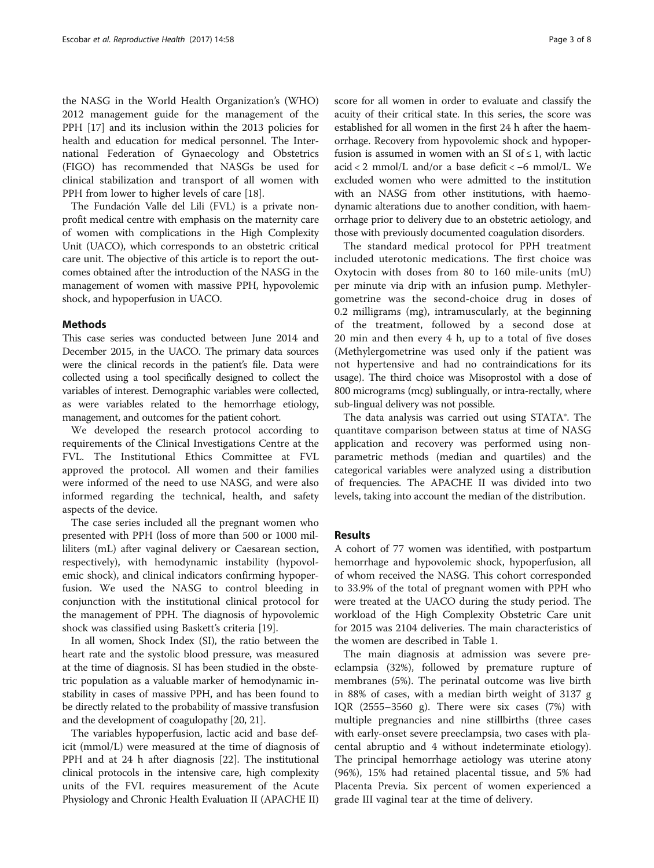the NASG in the World Health Organization's (WHO) 2012 management guide for the management of the PPH [[17](#page-7-0)] and its inclusion within the 2013 policies for health and education for medical personnel. The International Federation of Gynaecology and Obstetrics (FIGO) has recommended that NASGs be used for clinical stabilization and transport of all women with PPH from lower to higher levels of care [[18\]](#page-7-0).

The Fundación Valle del Lili (FVL) is a private nonprofit medical centre with emphasis on the maternity care of women with complications in the High Complexity Unit (UACO), which corresponds to an obstetric critical care unit. The objective of this article is to report the outcomes obtained after the introduction of the NASG in the management of women with massive PPH, hypovolemic shock, and hypoperfusion in UACO.

## Methods

This case series was conducted between June 2014 and December 2015, in the UACO. The primary data sources were the clinical records in the patient's file. Data were collected using a tool specifically designed to collect the variables of interest. Demographic variables were collected, as were variables related to the hemorrhage etiology, management, and outcomes for the patient cohort.

We developed the research protocol according to requirements of the Clinical Investigations Centre at the FVL. The Institutional Ethics Committee at FVL approved the protocol. All women and their families were informed of the need to use NASG, and were also informed regarding the technical, health, and safety aspects of the device.

The case series included all the pregnant women who presented with PPH (loss of more than 500 or 1000 milliliters (mL) after vaginal delivery or Caesarean section, respectively), with hemodynamic instability (hypovolemic shock), and clinical indicators confirming hypoperfusion. We used the NASG to control bleeding in conjunction with the institutional clinical protocol for the management of PPH. The diagnosis of hypovolemic shock was classified using Baskett's criteria [\[19](#page-7-0)].

In all women, Shock Index (SI), the ratio between the heart rate and the systolic blood pressure, was measured at the time of diagnosis. SI has been studied in the obstetric population as a valuable marker of hemodynamic instability in cases of massive PPH, and has been found to be directly related to the probability of massive transfusion and the development of coagulopathy [[20, 21\]](#page-7-0).

The variables hypoperfusion, lactic acid and base deficit (mmol/L) were measured at the time of diagnosis of PPH and at 24 h after diagnosis [[22\]](#page-7-0). The institutional clinical protocols in the intensive care, high complexity units of the FVL requires measurement of the Acute Physiology and Chronic Health Evaluation II (APACHE II)

score for all women in order to evaluate and classify the acuity of their critical state. In this series, the score was established for all women in the first 24 h after the haemorrhage. Recovery from hypovolemic shock and hypoperfusion is assumed in women with an SI of  $\leq 1$ , with lactic  $acid < 2$  mmol/L and/or a base deficit  $< -6$  mmol/L. We excluded women who were admitted to the institution with an NASG from other institutions, with haemodynamic alterations due to another condition, with haemorrhage prior to delivery due to an obstetric aetiology, and those with previously documented coagulation disorders.

The standard medical protocol for PPH treatment included uterotonic medications. The first choice was Oxytocin with doses from 80 to 160 mile-units (mU) per minute via drip with an infusion pump. Methylergometrine was the second-choice drug in doses of 0.2 milligrams (mg), intramuscularly, at the beginning of the treatment, followed by a second dose at 20 min and then every 4 h, up to a total of five doses (Methylergometrine was used only if the patient was not hypertensive and had no contraindications for its usage). The third choice was Misoprostol with a dose of 800 micrograms (mcg) sublingually, or intra-rectally, where sub-lingual delivery was not possible.

The data analysis was carried out using STATA®. The quantitave comparison between status at time of NASG application and recovery was performed using nonparametric methods (median and quartiles) and the categorical variables were analyzed using a distribution of frequencies. The APACHE II was divided into two levels, taking into account the median of the distribution.

## Results

A cohort of 77 women was identified, with postpartum hemorrhage and hypovolemic shock, hypoperfusion, all of whom received the NASG. This cohort corresponded to 33.9% of the total of pregnant women with PPH who were treated at the UACO during the study period. The workload of the High Complexity Obstetric Care unit for 2015 was 2104 deliveries. The main characteristics of the women are described in Table [1](#page-3-0).

The main diagnosis at admission was severe preeclampsia (32%), followed by premature rupture of membranes (5%). The perinatal outcome was live birth in 88% of cases, with a median birth weight of 3137 g IQR (2555–3560 g). There were six cases (7%) with multiple pregnancies and nine stillbirths (three cases with early-onset severe preeclampsia, two cases with placental abruptio and 4 without indeterminate etiology). The principal hemorrhage aetiology was uterine atony (96%), 15% had retained placental tissue, and 5% had Placenta Previa. Six percent of women experienced a grade III vaginal tear at the time of delivery.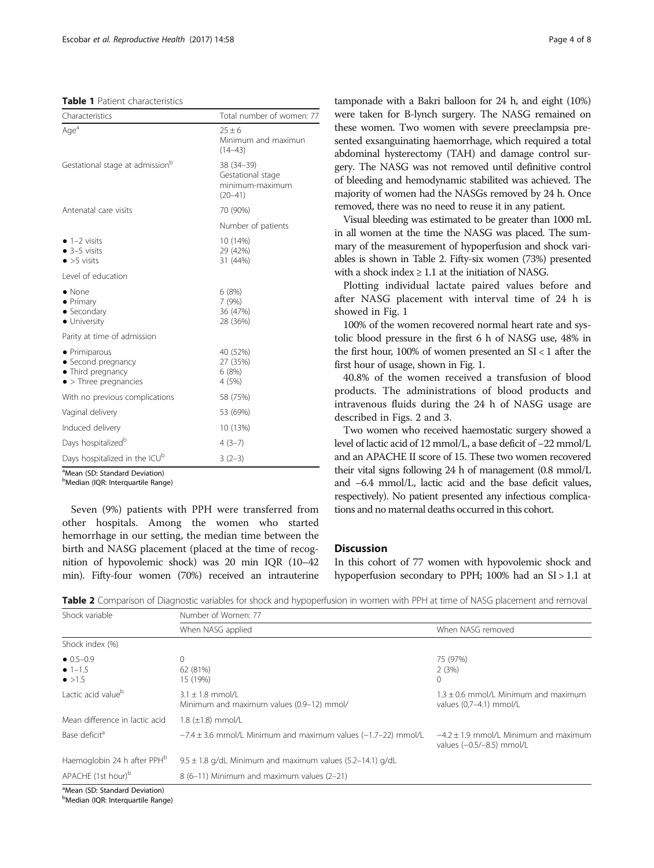## <span id="page-3-0"></span>Table 1 Patient characteristics

| Characteristics                                                                           | Total number of women: 77                                         |
|-------------------------------------------------------------------------------------------|-------------------------------------------------------------------|
| Age <sup>a</sup>                                                                          | $25 \pm 6$<br>Minimum and maximun<br>$(14 - 43)$                  |
| Gestational stage at admission <sup>b</sup>                                               | 38 (34-39)<br>Gestational stage<br>minimum-maximum<br>$(20 - 41)$ |
| Antenatal care visits                                                                     | 70 (90%)                                                          |
|                                                                                           | Number of patients                                                |
| $\bullet$ 1-2 visits<br>$\bullet$ 3-5 visits<br>$\bullet$ >5 visits                       | 10 (14%)<br>29 (42%)<br>31 (44%)                                  |
| Level of education                                                                        |                                                                   |
| $\bullet$ None<br>$\bullet$ Primary<br>• Secondary<br>• University                        | 6(8%)<br>7 (9%)<br>36 (47%)<br>28 (36%)                           |
| Parity at time of admission                                                               |                                                                   |
| • Primiparous<br>• Second pregnancy<br>• Third pregnancy<br>$\bullet$ > Three pregnancies | 40 (52%)<br>27 (35%)<br>6(8%)<br>4 (5%)                           |
| With no previous complications                                                            | 58 (75%)                                                          |
| Vaginal delivery                                                                          | 53 (69%)                                                          |
| Induced delivery                                                                          | 10 (13%)                                                          |
| Days hospitalized <sup>b</sup>                                                            | $4(3-7)$                                                          |
| Days hospitalized in the ICU <sup>b</sup>                                                 | $3(2-3)$                                                          |
| alloan (CD: Ctandard Doviation)                                                           |                                                                   |

Mean (SD: Standard Deviation)

<sup>b</sup>Median (IQR: Interquartile Range)

Seven (9%) patients with PPH were transferred from other hospitals. Among the women who started hemorrhage in our setting, the median time between the birth and NASG placement (placed at the time of recognition of hypovolemic shock) was 20 min IQR (10–42 min). Fifty-four women (70%) received an intrauterine

tamponade with a Bakri balloon for 24 h, and eight (10%) were taken for B-lynch surgery. The NASG remained on these women. Two women with severe preeclampsia presented exsanguinating haemorrhage, which required a total abdominal hysterectomy (TAH) and damage control surgery. The NASG was not removed until definitive control of bleeding and hemodynamic stabilited was achieved. The majority of women had the NASGs removed by 24 h. Once removed, there was no need to reuse it in any patient.

Visual bleeding was estimated to be greater than 1000 mL in all women at the time the NASG was placed. The summary of the measurement of hypoperfusion and shock variables is shown in Table 2. Fifty-six women (73%) presented with a shock index  $\geq 1.1$  at the initiation of NASG.

Plotting individual lactate paired values before and after NASG placement with interval time of 24 h is showed in Fig. [1](#page-4-0)

100% of the women recovered normal heart rate and systolic blood pressure in the first 6 h of NASG use, 48% in the first hour, 100% of women presented an  $SI < 1$  after the first hour of usage, shown in Fig. [1.](#page-4-0)

40.8% of the women received a transfusion of blood products. The administrations of blood products and intravenous fluids during the 24 h of NASG usage are described in Figs. [2](#page-4-0) and [3](#page-5-0).

Two women who received haemostatic surgery showed a level of lactic acid of 12 mmol/L, a base deficit of −22 mmol/L and an APACHE II score of 15. These two women recovered their vital signs following 24 h of management (0.8 mmol/L and −6.4 mmol/L, lactic acid and the base deficit values, respectively). No patient presented any infectious complications and no maternal deaths occurred in this cohort.

## **Discussion**

In this cohort of 77 women with hypovolemic shock and hypoperfusion secondary to PPH; 100% had an SI > 1.1 at

Table 2 Comparison of Diagnostic variables for shock and hypoperfusion in women with PPH at time of NASG placement and removal

| Shock variable                                          | Number of Women: 77                                                   |                                                                          |  |
|---------------------------------------------------------|-----------------------------------------------------------------------|--------------------------------------------------------------------------|--|
|                                                         | When NASG applied                                                     | When NASG removed                                                        |  |
| Shock index (%)                                         |                                                                       |                                                                          |  |
| $\bullet$ 0.5-0.9<br>$\bullet$ 1-1.5<br>$\bullet > 1.5$ | $\Omega$<br>62 (81%)<br>15 (19%)                                      | 75 (97%)<br>2(3%)<br>0                                                   |  |
| Lactic acid value <sup>b</sup>                          | $3.1 + 1.8$ mmol/l<br>Minimum and maximum values (0.9-12) mmol/       | $1.3 + 0.6$ mmol/L Minimum and maximum<br>values (0,7-4.1) mmol/L        |  |
| Mean difference in lactic acid                          | $1.8$ ( $\pm 1.8$ ) mmol/L                                            |                                                                          |  |
| Base deficit <sup>a</sup>                               | $-7.4 \pm 3.6$ mmol/L Minimum and maximum values ( $-1.7-22$ ) mmol/L | $-4.2 \pm 1.9$ mmol/L Minimum and maximum<br>values $(-0.5/-8.5)$ mmol/L |  |
| Haemoglobin 24 h after PPH <sup>b</sup>                 | $9.5 \pm 1.8$ g/dL Minimum and maximum values (5.2-14.1) g/dL         |                                                                          |  |
| APACHE (1st hour) <sup>b</sup>                          | 8 (6-11) Minimum and maximum values (2-21)                            |                                                                          |  |

<sup>a</sup>Mean (SD: Standard Deviation)

<sup>b</sup>Median (IQR: Interquartile Range)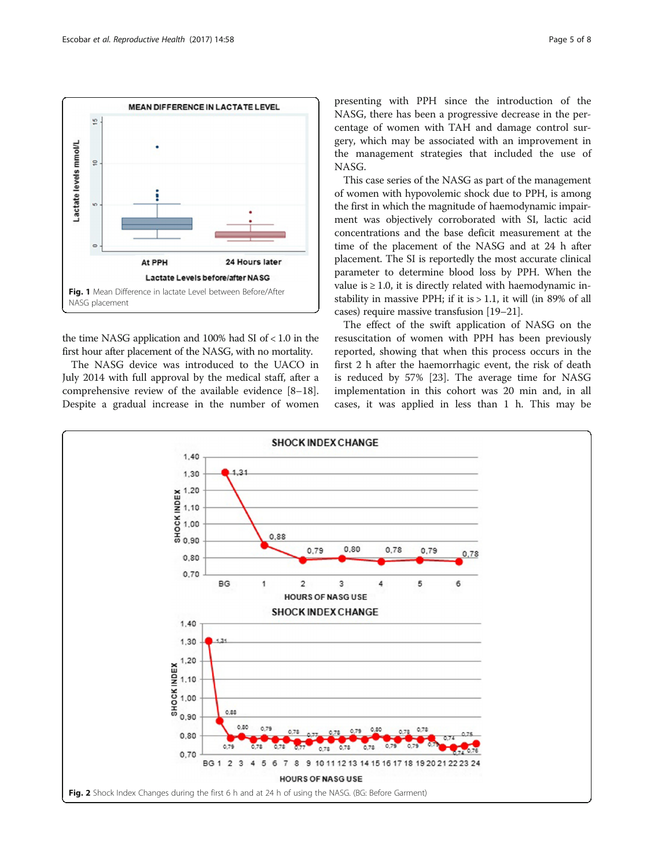<span id="page-4-0"></span>

the time NASG application and 100% had SI of < 1.0 in the first hour after placement of the NASG, with no mortality.

The NASG device was introduced to the UACO in July 2014 with full approval by the medical staff, after a comprehensive review of the available evidence [[8](#page-6-0)–[18](#page-7-0)]. Despite a gradual increase in the number of women

presenting with PPH since the introduction of the NASG, there has been a progressive decrease in the percentage of women with TAH and damage control surgery, which may be associated with an improvement in the management strategies that included the use of NASG.

This case series of the NASG as part of the management of women with hypovolemic shock due to PPH, is among the first in which the magnitude of haemodynamic impairment was objectively corroborated with SI, lactic acid concentrations and the base deficit measurement at the time of the placement of the NASG and at 24 h after placement. The SI is reportedly the most accurate clinical parameter to determine blood loss by PPH. When the value is  $\geq 1.0$ , it is directly related with haemodynamic instability in massive PPH; if it is > 1.1, it will (in 89% of all cases) require massive transfusion [\[19](#page-7-0)–[21](#page-7-0)].

The effect of the swift application of NASG on the resuscitation of women with PPH has been previously reported, showing that when this process occurs in the first 2 h after the haemorrhagic event, the risk of death is reduced by 57% [[23\]](#page-7-0). The average time for NASG implementation in this cohort was 20 min and, in all cases, it was applied in less than 1 h. This may be

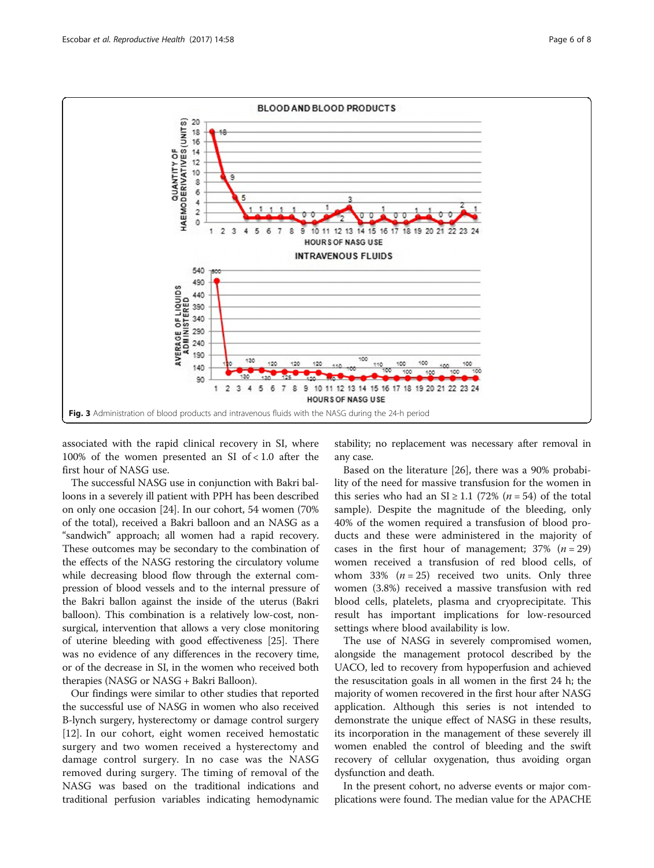<span id="page-5-0"></span>

associated with the rapid clinical recovery in SI, where 100% of the women presented an SI of < 1.0 after the first hour of NASG use.

The successful NASG use in conjunction with Bakri balloons in a severely ill patient with PPH has been described on only one occasion [\[24](#page-7-0)]. In our cohort, 54 women (70% of the total), received a Bakri balloon and an NASG as a "sandwich" approach; all women had a rapid recovery. These outcomes may be secondary to the combination of the effects of the NASG restoring the circulatory volume while decreasing blood flow through the external compression of blood vessels and to the internal pressure of the Bakri ballon against the inside of the uterus (Bakri balloon). This combination is a relatively low-cost, nonsurgical, intervention that allows a very close monitoring of uterine bleeding with good effectiveness [[25](#page-7-0)]. There was no evidence of any differences in the recovery time, or of the decrease in SI, in the women who received both therapies (NASG or NASG + Bakri Balloon).

Our findings were similar to other studies that reported the successful use of NASG in women who also received B-lynch surgery, hysterectomy or damage control surgery [[12](#page-6-0)]. In our cohort, eight women received hemostatic surgery and two women received a hysterectomy and damage control surgery. In no case was the NASG removed during surgery. The timing of removal of the NASG was based on the traditional indications and traditional perfusion variables indicating hemodynamic

stability; no replacement was necessary after removal in any case.

Based on the literature [\[26](#page-7-0)], there was a 90% probability of the need for massive transfusion for the women in this series who had an SI ≥ 1.1 (72% ( $n = 54$ ) of the total sample). Despite the magnitude of the bleeding, only 40% of the women required a transfusion of blood products and these were administered in the majority of cases in the first hour of management;  $37\%$  ( $n = 29$ ) women received a transfusion of red blood cells, of whom 33%  $(n = 25)$  received two units. Only three women (3.8%) received a massive transfusion with red blood cells, platelets, plasma and cryoprecipitate. This result has important implications for low-resourced settings where blood availability is low.

The use of NASG in severely compromised women, alongside the management protocol described by the UACO, led to recovery from hypoperfusion and achieved the resuscitation goals in all women in the first 24 h; the majority of women recovered in the first hour after NASG application. Although this series is not intended to demonstrate the unique effect of NASG in these results, its incorporation in the management of these severely ill women enabled the control of bleeding and the swift recovery of cellular oxygenation, thus avoiding organ dysfunction and death.

In the present cohort, no adverse events or major complications were found. The median value for the APACHE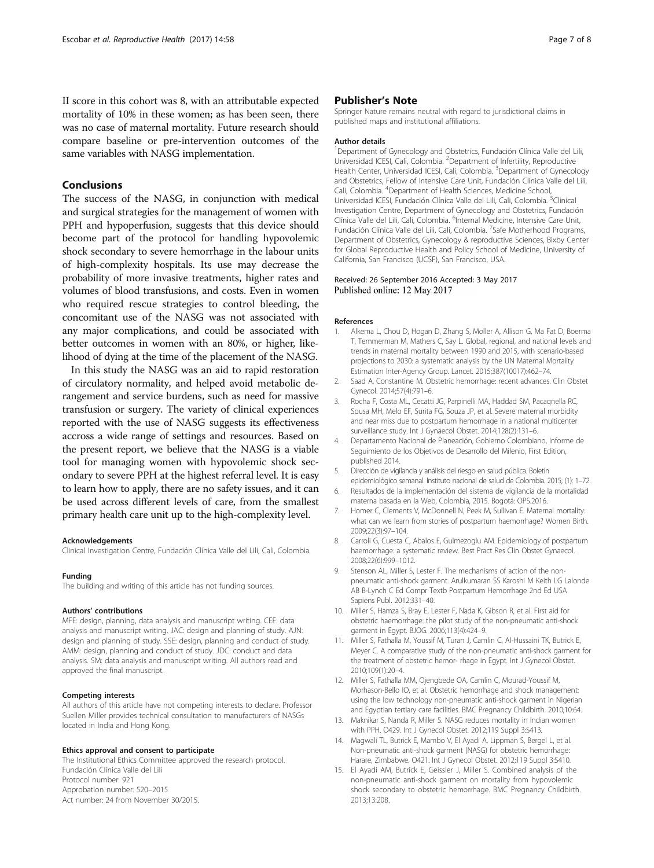<span id="page-6-0"></span>II score in this cohort was 8, with an attributable expected mortality of 10% in these women; as has been seen, there was no case of maternal mortality. Future research should compare baseline or pre-intervention outcomes of the same variables with NASG implementation.

## Conclusions

The success of the NASG, in conjunction with medical and surgical strategies for the management of women with PPH and hypoperfusion, suggests that this device should become part of the protocol for handling hypovolemic shock secondary to severe hemorrhage in the labour units of high-complexity hospitals. Its use may decrease the probability of more invasive treatments, higher rates and volumes of blood transfusions, and costs. Even in women who required rescue strategies to control bleeding, the concomitant use of the NASG was not associated with any major complications, and could be associated with better outcomes in women with an 80%, or higher, likelihood of dying at the time of the placement of the NASG.

In this study the NASG was an aid to rapid restoration of circulatory normality, and helped avoid metabolic derangement and service burdens, such as need for massive transfusion or surgery. The variety of clinical experiences reported with the use of NASG suggests its effectiveness accross a wide range of settings and resources. Based on the present report, we believe that the NASG is a viable tool for managing women with hypovolemic shock secondary to severe PPH at the highest referral level. It is easy to learn how to apply, there are no safety issues, and it can be used across different levels of care, from the smallest primary health care unit up to the high-complexity level.

#### Acknowledgements

Clinical Investigation Centre, Fundación Clínica Valle del Lili, Cali, Colombia.

#### Funding

The building and writing of this article has not funding sources.

#### Authors' contributions

MFE: design, planning, data analysis and manuscript writing. CEF: data analysis and manuscript writing. JAC: design and planning of study. AJN: design and planning of study. SSE: design, planning and conduct of study. AMM: design, planning and conduct of study. JDC: conduct and data analysis. SM: data analysis and manuscript writing. All authors read and approved the final manuscript.

#### Competing interests

All authors of this article have not competing interests to declare. Professor Suellen Miller provides technical consultation to manufacturers of NASGs located in India and Hong Kong.

#### Ethics approval and consent to participate

The Institutional Ethics Committee approved the research protocol. Fundación Clínica Valle del Lili Protocol number: 921 Approbation number: 520–2015 Act number: 24 from November 30/2015.

## Publisher's Note

Springer Nature remains neutral with regard to jurisdictional claims in published maps and institutional affiliations.

#### Author details

<sup>1</sup>Department of Gynecology and Obstetrics, Fundación Clínica Valle del Lili Universidad ICESI, Cali, Colombia. <sup>2</sup>Department of Infertility, Reproductive Health Center, Universidad ICESI, Cali, Colombia. <sup>3</sup>Department of Gynecology and Obstetrics, Fellow of Intensive Care Unit, Fundación Clínica Valle del Lili, Cali, Colombia. <sup>4</sup>Department of Health Sciences, Medicine School, Universidad ICESI, Fundación Clínica Valle del Lili, Cali, Colombia. <sup>5</sup>Clinical Investigation Centre, Department of Gynecology and Obstetrics, Fundación Clínica Valle del Lili, Cali, Colombia. <sup>6</sup>Internal Medicine, Intensive Care Unit, Fundación Clínica Valle del Lili, Cali, Colombia. <sup>7</sup>Safe Motherhood Programs, Department of Obstetrics, Gynecology & reproductive Sciences, Bixby Center for Global Reproductive Health and Policy School of Medicine, University of California, San Francisco (UCSF), San Francisco, USA.

#### Received: 26 September 2016 Accepted: 3 May 2017 Published online: 12 May 2017

#### References

- 1. Alkema L, Chou D, Hogan D, Zhang S, Moller A, Allison G, Ma Fat D, Boerma T, Temmerman M, Mathers C, Say L. Global, regional, and national levels and trends in maternal mortality between 1990 and 2015, with scenario-based projections to 2030: a systematic analysis by the UN Maternal Mortality Estimation Inter-Agency Group. Lancet. 2015;387(10017):462–74.
- 2. Saad A, Constantine M. Obstetric hemorrhage: recent advances. Clin Obstet Gynecol. 2014;57(4):791–6.
- 3. Rocha F, Costa ML, Cecatti JG, Parpinelli MA, Haddad SM, Pacaqnella RC, Sousa MH, Melo EF, Surita FG, Souza JP, et al. Severe maternal morbidity and near miss due to postpartum hemorrhage in a national multicenter surveillance study. Int J Gynaecol Obstet. 2014;128(2):131–6.
- 4. Departamento Nacional de Planeación, Gobierno Colombiano, Informe de Seguimiento de los Objetivos de Desarrollo del Milenio, First Edition, published 2014.
- 5. Dirección de vigilancia y análisis del riesgo en salud pública. Boletín epidemiológico semanal. Instituto nacional de salud de Colombia. 2015; (1): 1–72.
- 6. Resultados de la implementación del sistema de vigilancia de la mortalidad materna basada en la Web, Colombia, 2015. Bogotá: OPS.2016.
- 7. Homer C, Clements V, McDonnell N, Peek M, Sullivan E. Maternal mortality: what can we learn from stories of postpartum haemorrhage? Women Birth. 2009;22(3):97–104.
- 8. Carroli G, Cuesta C, Abalos E, Gulmezoglu AM. Epidemiology of postpartum haemorrhage: a systematic review. Best Pract Res Clin Obstet Gynaecol. 2008;22(6):999–1012.
- 9. Stenson AL, Miller S, Lester F. The mechanisms of action of the nonpneumatic anti-shock garment. Arulkumaran SS Karoshi M Keith LG Lalonde AB B-Lynch C Ed Compr Textb Postpartum Hemorrhage 2nd Ed USA Sapiens Publ. 2012;331–40.
- 10. Miller S, Hamza S, Bray E, Lester F, Nada K, Gibson R, et al. First aid for obstetric haemorrhage: the pilot study of the non-pneumatic anti-shock garment in Egypt. BJOG. 2006;113(4):424–9.
- 11. Miller S, Fathalla M, Youssif M, Turan J, Camlin C, Al-Hussaini TK, Butrick E, Meyer C. A comparative study of the non-pneumatic anti-shock garment for the treatment of obstetric hemor- rhage in Egypt. Int J Gynecol Obstet. 2010;109(1):20–4.
- 12. Miller S, Fathalla MM, Ojengbede OA, Camlin C, Mourad-Youssif M, Morhason-Bello IO, et al. Obstetric hemorrhage and shock management: using the low technology non-pneumatic anti-shock garment in Nigerian and Egyptian tertiary care facilities. BMC Pregnancy Childbirth. 2010;10:64.
- 13. Maknikar S, Nanda R, Miller S. NASG reduces mortality in Indian women with PPH. O429. Int J Gynecol Obstet. 2012;119 Suppl 3:S413.
- 14. Magwali TL, Butrick E, Mambo V, El Ayadi A, Lippman S, Bergel L, et al. Non-pneumatic anti-shock garment (NASG) for obstetric hemorrhage: Harare, Zimbabwe. O421. Int J Gynecol Obstet. 2012;119 Suppl 3:S410.
- 15. El Ayadi AM, Butrick E, Geissler J, Miller S. Combined analysis of the non-pneumatic anti-shock garment on mortality from hypovolemic shock secondary to obstetric hemorrhage. BMC Pregnancy Childbirth. 2013;13:208.